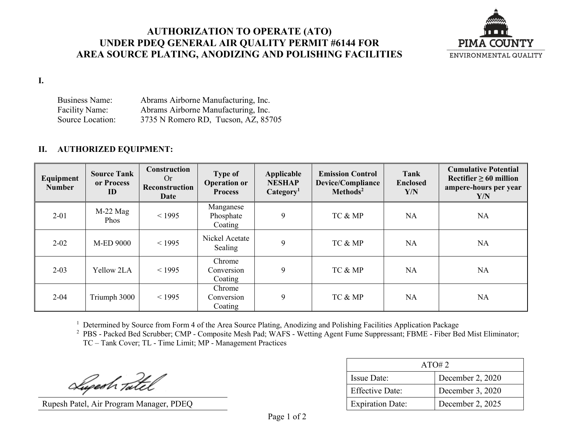## **AUTHORIZATION TO OPERATE (ATO) UNDER PDEQ GENERAL AIR QUALITY PERMIT #6144 FOR AREA SOURCE PLATING, ANODIZING AND POLISHING FACILITIES**



**I.**

Business Name: Abrams Airborne Manufacturing, Inc. Facility Name: Abrams Airborne Manufacturing, Inc. Source Location: 3735 N Romero RD, Tucson, AZ, 85705

## **II. AUTHORIZED EQUIPMENT:**

| Equipment<br><b>Number</b> | <b>Source Tank</b><br>or Process<br>ID | Construction<br>Or<br><b>Reconstruction</b><br>Date | <b>Type of</b><br><b>Operation or</b><br><b>Process</b> | Applicable<br><b>NESHAP</b><br>Categorical <sup>1</sup> | <b>Emission Control</b><br>Device/Compliance<br>Methods <sup>2</sup> | Tank<br><b>Enclosed</b><br>Y/N | <b>Cumulative Potential</b><br>Rectifier $\geq 60$ million<br>ampere-hours per year<br>Y/N |
|----------------------------|----------------------------------------|-----------------------------------------------------|---------------------------------------------------------|---------------------------------------------------------|----------------------------------------------------------------------|--------------------------------|--------------------------------------------------------------------------------------------|
| $2 - 01$                   | $M-22$ Mag<br><b>Phos</b>              | < 1995                                              | Manganese<br>Phosphate<br>Coating                       | 9                                                       | TC & MP                                                              | <b>NA</b>                      | <b>NA</b>                                                                                  |
| $2 - 02$                   | <b>M-ED 9000</b>                       | < 1995                                              | Nickel Acetate<br>Sealing                               | 9                                                       | TC & MP                                                              | <b>NA</b>                      | <b>NA</b>                                                                                  |
| $2 - 03$                   | Yellow 2LA                             | < 1995                                              | Chrome<br>Conversion<br>Coating                         | 9                                                       | TC & MP                                                              | <b>NA</b>                      | <b>NA</b>                                                                                  |
| $2 - 04$                   | Triumph 3000                           | < 1995                                              | Chrome<br>Conversion<br>Coating                         | 9                                                       | TC & MP                                                              | <b>NA</b>                      | <b>NA</b>                                                                                  |

<sup>1</sup> Determined by Source from Form 4 of the Area Source Plating, Anodizing and Polishing Facilities Application Package

<sup>2</sup> PBS - Packed Bed Scrubber; CMP - Composite Mesh Pad; WAFS - Wetting Agent Fume Suppressant; FBME - Fiber Bed Mist Eliminator; TC – Tank Cover; TL - Time Limit; MP - Management Practices

Superh Tatel

Rupesh Patel, Air Program Manager, PDEQ

| ATO#2                   |                  |  |
|-------------------------|------------------|--|
| <b>Issue Date:</b>      | December 2, 2020 |  |
| <b>Effective Date:</b>  | December 3, 2020 |  |
| <b>Expiration Date:</b> | December 2, 2025 |  |